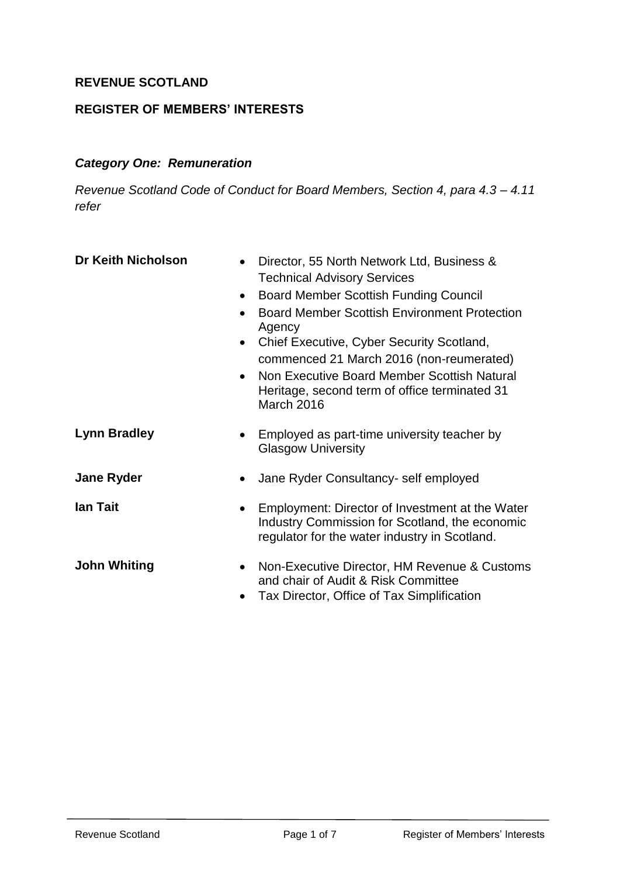#### **REVENUE SCOTLAND**

#### **REGISTER OF MEMBERS' INTERESTS**

#### *Category One: Remuneration*

*Revenue Scotland Code of Conduct for Board Members, Section 4, para 4.3 – 4.11 refer*

| <b>Dr Keith Nicholson</b><br>$\bullet$<br>$\bullet$<br>$\bullet$ | Director, 55 North Network Ltd, Business &<br><b>Technical Advisory Services</b><br><b>Board Member Scottish Funding Council</b><br><b>Board Member Scottish Environment Protection</b><br>Agency<br>Chief Executive, Cyber Security Scotland,<br>commenced 21 March 2016 (non-reumerated)<br>Non Executive Board Member Scottish Natural<br>Heritage, second term of office terminated 31<br>March 2016 |
|------------------------------------------------------------------|----------------------------------------------------------------------------------------------------------------------------------------------------------------------------------------------------------------------------------------------------------------------------------------------------------------------------------------------------------------------------------------------------------|
| <b>Lynn Bradley</b><br>$\bullet$                                 | Employed as part-time university teacher by<br><b>Glasgow University</b>                                                                                                                                                                                                                                                                                                                                 |
| <b>Jane Ryder</b><br>$\bullet$                                   | Jane Ryder Consultancy- self employed                                                                                                                                                                                                                                                                                                                                                                    |
| lan Tait<br>$\bullet$                                            | Employment: Director of Investment at the Water<br>Industry Commission for Scotland, the economic<br>regulator for the water industry in Scotland.                                                                                                                                                                                                                                                       |
| <b>John Whiting</b><br>$\bullet$<br>$\bullet$                    | Non-Executive Director, HM Revenue & Customs<br>and chair of Audit & Risk Committee<br>Tax Director, Office of Tax Simplification                                                                                                                                                                                                                                                                        |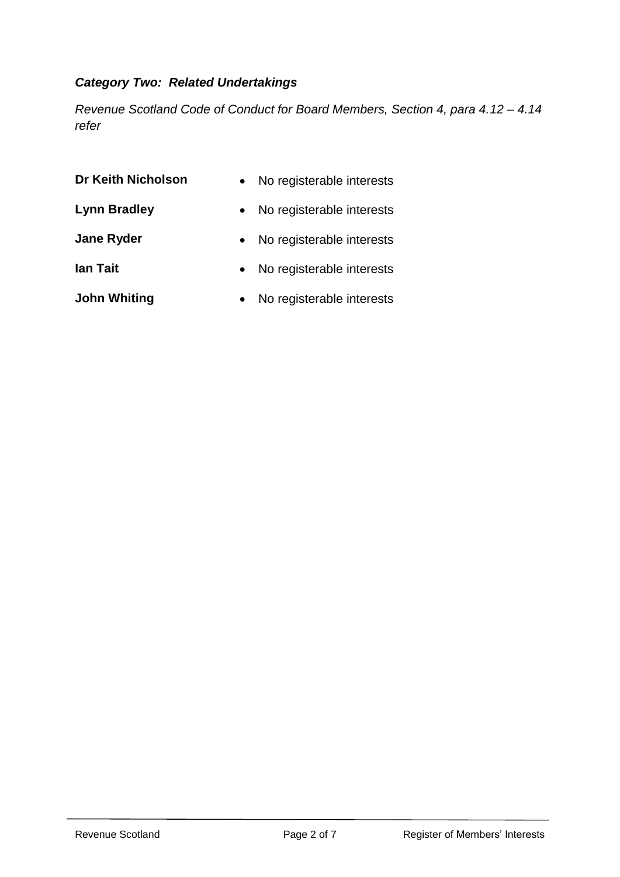# *Category Two: Related Undertakings*

*Revenue Scotland Code of Conduct for Board Members, Section 4, para 4.12 – 4.14 refer*

| Dr Keith Nicholson  | No registerable interests |
|---------------------|---------------------------|
| <b>Lynn Bradley</b> | No registerable interests |
| <b>Jane Ryder</b>   | No registerable interests |
| lan Tait            | No registerable interests |
| <b>John Whiting</b> | No registerable interests |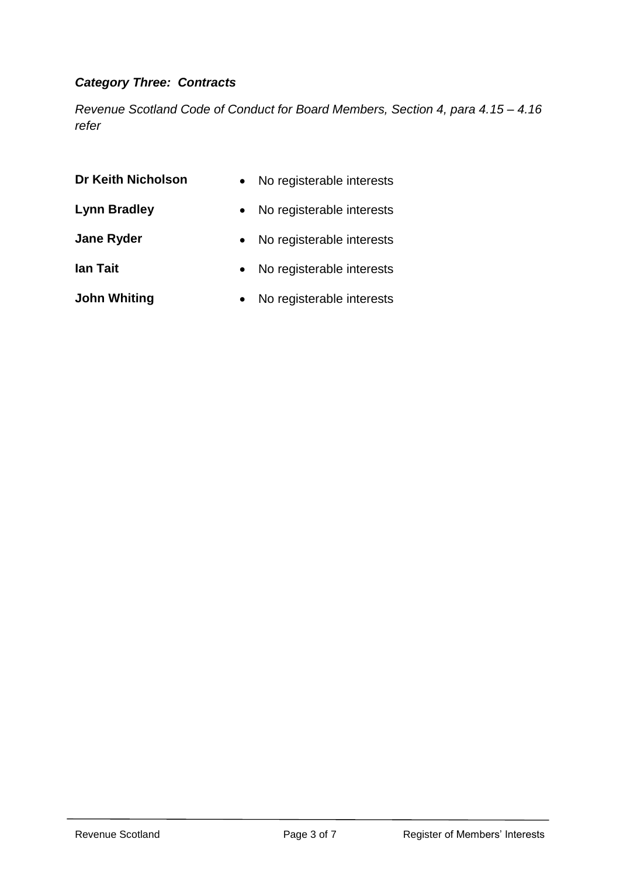# *Category Three: Contracts*

*Revenue Scotland Code of Conduct for Board Members, Section 4, para 4.15 – 4.16 refer*

| Dr Keith Nicholson  | No registerable interests |
|---------------------|---------------------------|
| <b>Lynn Bradley</b> | No registerable interests |
| <b>Jane Ryder</b>   | No registerable interests |
| lan Tait            | No registerable interests |
| <b>John Whiting</b> | No registerable interests |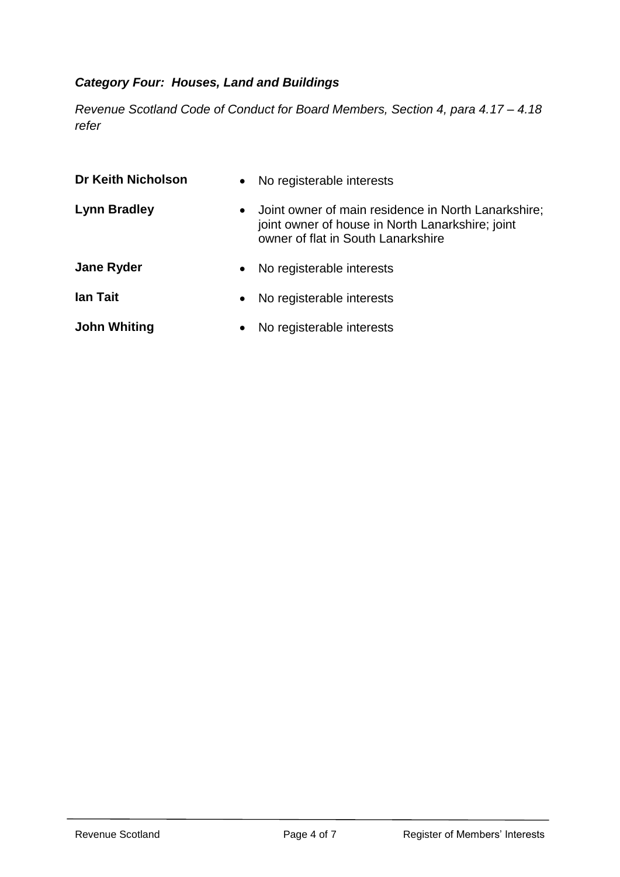# *Category Four: Houses, Land and Buildings*

*Revenue Scotland Code of Conduct for Board Members, Section 4, para 4.17 – 4.18 refer*

| <b>Dr Keith Nicholson</b> | No registerable interests<br>$\bullet$                                                                                                                     |
|---------------------------|------------------------------------------------------------------------------------------------------------------------------------------------------------|
| <b>Lynn Bradley</b>       | Joint owner of main residence in North Lanarkshire;<br>$\bullet$<br>joint owner of house in North Lanarkshire; joint<br>owner of flat in South Lanarkshire |
| <b>Jane Ryder</b>         | No registerable interests<br>$\bullet$                                                                                                                     |
| lan Tait                  | No registerable interests<br>$\bullet$                                                                                                                     |
| <b>John Whiting</b>       | No registerable interests<br>$\bullet$                                                                                                                     |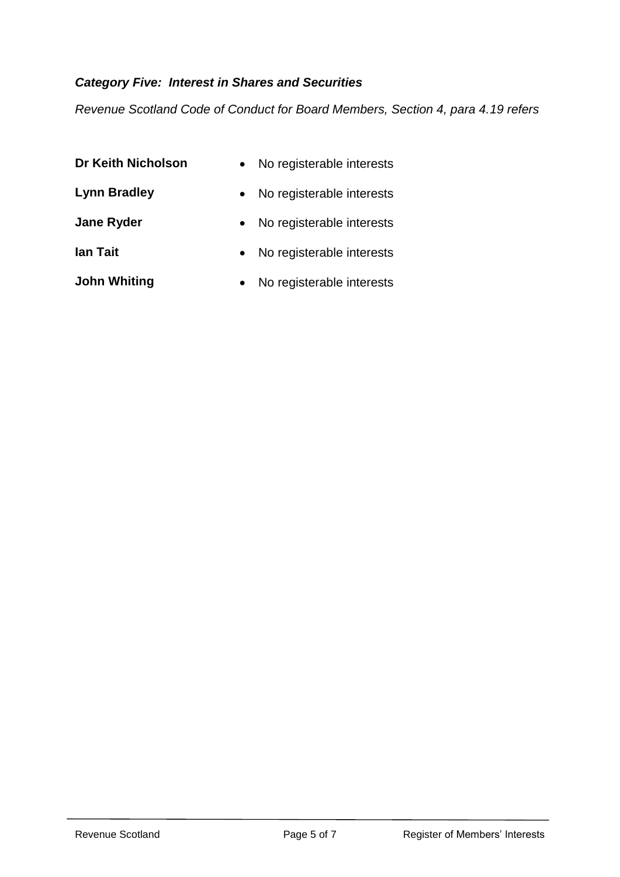# *Category Five: Interest in Shares and Securities*

*Revenue Scotland Code of Conduct for Board Members, Section 4, para 4.19 refers*

| <b>Dr Keith Nicholson</b> | No registerable interests<br>$\bullet$ |
|---------------------------|----------------------------------------|
| <b>Lynn Bradley</b>       | No registerable interests              |
| <b>Jane Ryder</b>         | No registerable interests              |
| lan Tait                  | No registerable interests              |
| <b>John Whiting</b>       | No registerable interests              |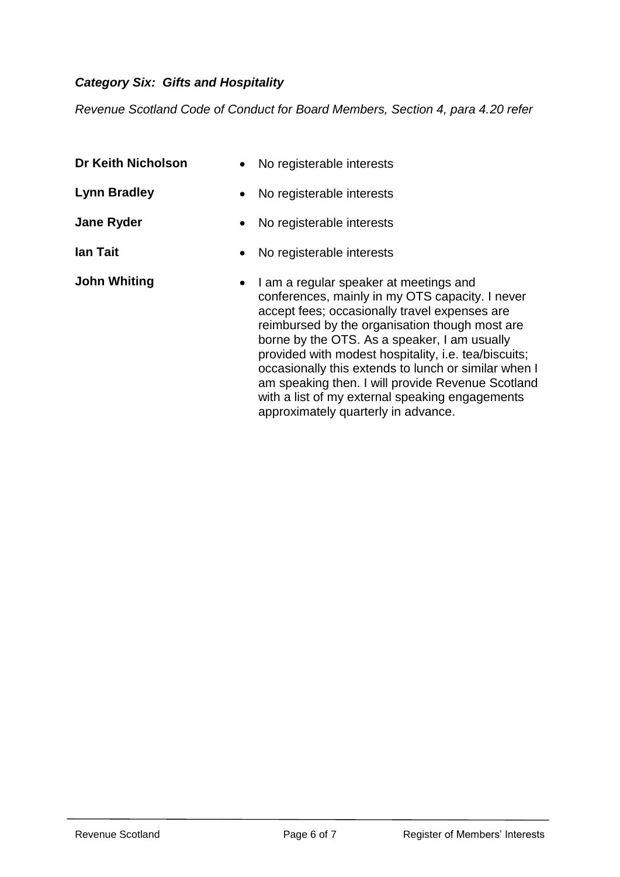# *Category Six: Gifts and Hospitality*

*Revenue Scotland Code of Conduct for Board Members, Section 4, para 4.20 refer*

| <b>Dr Keith Nicholson</b> | No registerable interests                                                                                                                                                                                                                                                                                                                                                                                                                                                                                   |
|---------------------------|-------------------------------------------------------------------------------------------------------------------------------------------------------------------------------------------------------------------------------------------------------------------------------------------------------------------------------------------------------------------------------------------------------------------------------------------------------------------------------------------------------------|
| <b>Lynn Bradley</b>       | No registerable interests                                                                                                                                                                                                                                                                                                                                                                                                                                                                                   |
| <b>Jane Ryder</b>         | No registerable interests                                                                                                                                                                                                                                                                                                                                                                                                                                                                                   |
| lan Tait                  | No registerable interests                                                                                                                                                                                                                                                                                                                                                                                                                                                                                   |
| <b>John Whiting</b>       | I am a regular speaker at meetings and<br>conferences, mainly in my OTS capacity. I never<br>accept fees; occasionally travel expenses are<br>reimbursed by the organisation though most are<br>borne by the OTS. As a speaker, I am usually<br>provided with modest hospitality, i.e. tea/biscuits;<br>occasionally this extends to lunch or similar when I<br>am speaking then. I will provide Revenue Scotland<br>with a list of my external speaking engagements<br>approximately quarterly in advance. |